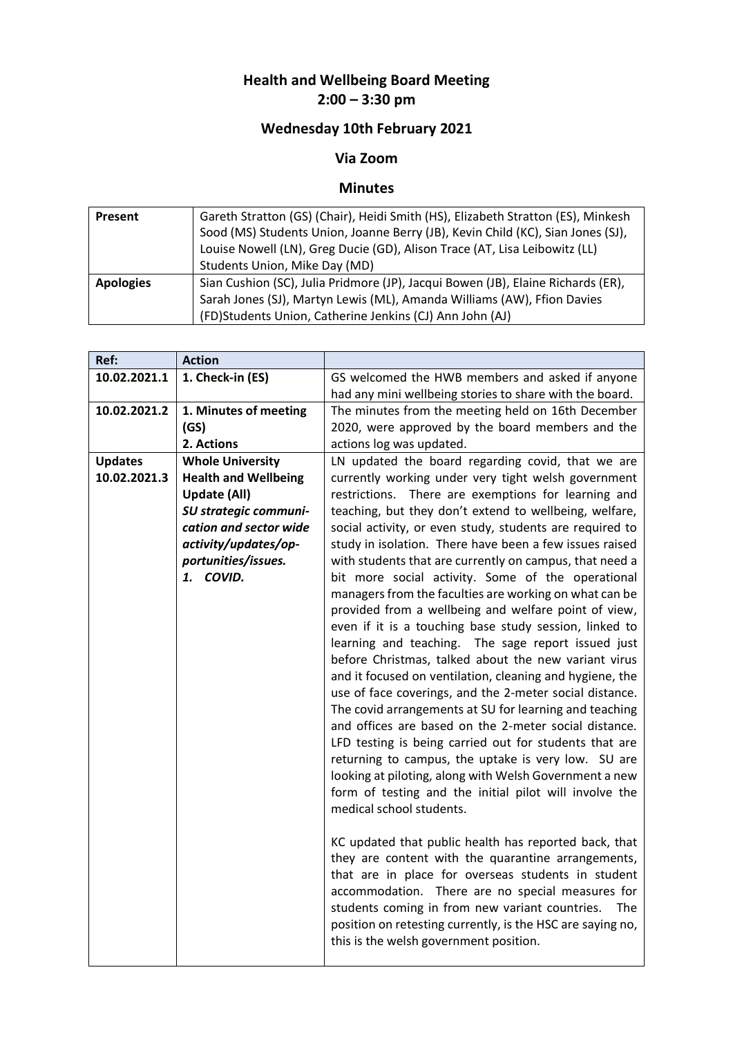## **Health and Wellbeing Board Meeting 2:00 – 3:30 pm**

## **Wednesday 10th February 2021**

## **Via Zoom**

## **Minutes**

| Present          | Gareth Stratton (GS) (Chair), Heidi Smith (HS), Elizabeth Stratton (ES), Minkesh |  |
|------------------|----------------------------------------------------------------------------------|--|
|                  | Sood (MS) Students Union, Joanne Berry (JB), Kevin Child (KC), Sian Jones (SJ),  |  |
|                  | Louise Nowell (LN), Greg Ducie (GD), Alison Trace (AT, Lisa Leibowitz (LL)       |  |
|                  | Students Union, Mike Day (MD)                                                    |  |
| <b>Apologies</b> | Sian Cushion (SC), Julia Pridmore (JP), Jacqui Bowen (JB), Elaine Richards (ER), |  |
|                  | Sarah Jones (SJ), Martyn Lewis (ML), Amanda Williams (AW), Ffion Davies          |  |
|                  | (FD)Students Union, Catherine Jenkins (CJ) Ann John (AJ)                         |  |

| Ref:           | <b>Action</b>                |                                                                                                                 |
|----------------|------------------------------|-----------------------------------------------------------------------------------------------------------------|
| 10.02.2021.1   | 1. Check-in (ES)             | GS welcomed the HWB members and asked if anyone                                                                 |
|                |                              | had any mini wellbeing stories to share with the board.                                                         |
| 10.02.2021.2   | 1. Minutes of meeting        | The minutes from the meeting held on 16th December                                                              |
|                | (GS)                         | 2020, were approved by the board members and the                                                                |
|                | 2. Actions                   | actions log was updated.                                                                                        |
| <b>Updates</b> | <b>Whole University</b>      | LN updated the board regarding covid, that we are                                                               |
| 10.02.2021.3   | <b>Health and Wellbeing</b>  | currently working under very tight welsh government                                                             |
|                | <b>Update (All)</b>          | restrictions. There are exemptions for learning and                                                             |
|                | <b>SU strategic communi-</b> | teaching, but they don't extend to wellbeing, welfare,                                                          |
|                | cation and sector wide       | social activity, or even study, students are required to                                                        |
|                | activity/updates/op-         | study in isolation. There have been a few issues raised                                                         |
|                | portunities/issues.          | with students that are currently on campus, that need a                                                         |
|                | 1. COVID.                    | bit more social activity. Some of the operational                                                               |
|                |                              | managers from the faculties are working on what can be                                                          |
|                |                              | provided from a wellbeing and welfare point of view,                                                            |
|                |                              | even if it is a touching base study session, linked to                                                          |
|                |                              | learning and teaching. The sage report issued just                                                              |
|                |                              | before Christmas, talked about the new variant virus                                                            |
|                |                              | and it focused on ventilation, cleaning and hygiene, the                                                        |
|                |                              | use of face coverings, and the 2-meter social distance.                                                         |
|                |                              | The covid arrangements at SU for learning and teaching<br>and offices are based on the 2-meter social distance. |
|                |                              |                                                                                                                 |
|                |                              | LFD testing is being carried out for students that are                                                          |
|                |                              | returning to campus, the uptake is very low. SU are                                                             |
|                |                              | looking at piloting, along with Welsh Government a new                                                          |
|                |                              | form of testing and the initial pilot will involve the<br>medical school students.                              |
|                |                              |                                                                                                                 |
|                |                              | KC updated that public health has reported back, that                                                           |
|                |                              | they are content with the quarantine arrangements,                                                              |
|                |                              | that are in place for overseas students in student                                                              |
|                |                              | accommodation. There are no special measures for                                                                |
|                |                              | students coming in from new variant countries.<br>The                                                           |
|                |                              | position on retesting currently, is the HSC are saying no,                                                      |
|                |                              | this is the welsh government position.                                                                          |
|                |                              |                                                                                                                 |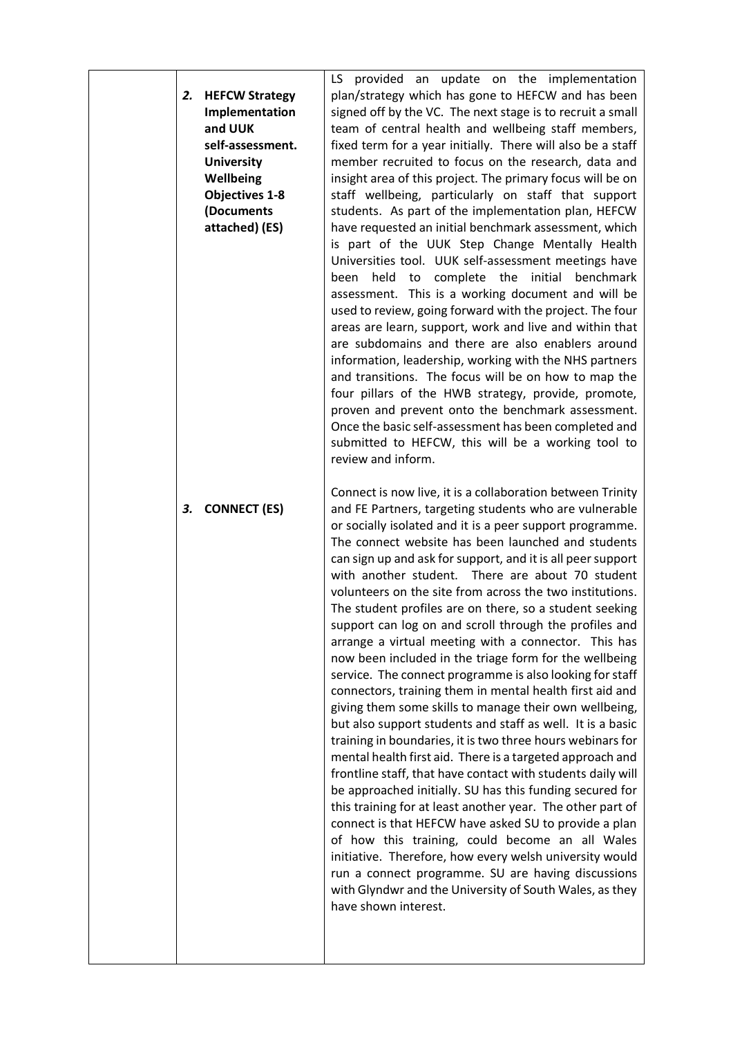| 2. | <b>HEFCW Strategy</b><br>Implementation<br>and UUK<br>self-assessment.<br><b>University</b><br>Wellbeing<br><b>Objectives 1-8</b><br>(Documents<br>attached) (ES) | LS provided an update on the implementation<br>plan/strategy which has gone to HEFCW and has been<br>signed off by the VC. The next stage is to recruit a small<br>team of central health and wellbeing staff members,<br>fixed term for a year initially. There will also be a staff<br>member recruited to focus on the research, data and<br>insight area of this project. The primary focus will be on<br>staff wellbeing, particularly on staff that support<br>students. As part of the implementation plan, HEFCW<br>have requested an initial benchmark assessment, which<br>is part of the UUK Step Change Mentally Health<br>Universities tool. UUK self-assessment meetings have<br>complete the initial<br>held<br>benchmark<br>been<br>to<br>assessment. This is a working document and will be<br>used to review, going forward with the project. The four<br>areas are learn, support, work and live and within that<br>are subdomains and there are also enablers around<br>information, leadership, working with the NHS partners<br>and transitions. The focus will be on how to map the<br>four pillars of the HWB strategy, provide, promote,<br>proven and prevent onto the benchmark assessment.<br>Once the basic self-assessment has been completed and<br>submitted to HEFCW, this will be a working tool to<br>review and inform.<br>Connect is now live, it is a collaboration between Trinity                                                          |
|----|-------------------------------------------------------------------------------------------------------------------------------------------------------------------|------------------------------------------------------------------------------------------------------------------------------------------------------------------------------------------------------------------------------------------------------------------------------------------------------------------------------------------------------------------------------------------------------------------------------------------------------------------------------------------------------------------------------------------------------------------------------------------------------------------------------------------------------------------------------------------------------------------------------------------------------------------------------------------------------------------------------------------------------------------------------------------------------------------------------------------------------------------------------------------------------------------------------------------------------------------------------------------------------------------------------------------------------------------------------------------------------------------------------------------------------------------------------------------------------------------------------------------------------------------------------------------------------------------------------------------------------------------------------------|
| 3. | <b>CONNECT (ES)</b>                                                                                                                                               | and FE Partners, targeting students who are vulnerable<br>or socially isolated and it is a peer support programme.<br>The connect website has been launched and students<br>can sign up and ask for support, and it is all peer support<br>with another student. There are about 70 student<br>volunteers on the site from across the two institutions.<br>The student profiles are on there, so a student seeking<br>support can log on and scroll through the profiles and<br>arrange a virtual meeting with a connector. This has<br>now been included in the triage form for the wellbeing<br>service. The connect programme is also looking for staff<br>connectors, training them in mental health first aid and<br>giving them some skills to manage their own wellbeing,<br>but also support students and staff as well. It is a basic<br>training in boundaries, it is two three hours webinars for<br>mental health first aid. There is a targeted approach and<br>frontline staff, that have contact with students daily will<br>be approached initially. SU has this funding secured for<br>this training for at least another year. The other part of<br>connect is that HEFCW have asked SU to provide a plan<br>of how this training, could become an all Wales<br>initiative. Therefore, how every welsh university would<br>run a connect programme. SU are having discussions<br>with Glyndwr and the University of South Wales, as they<br>have shown interest. |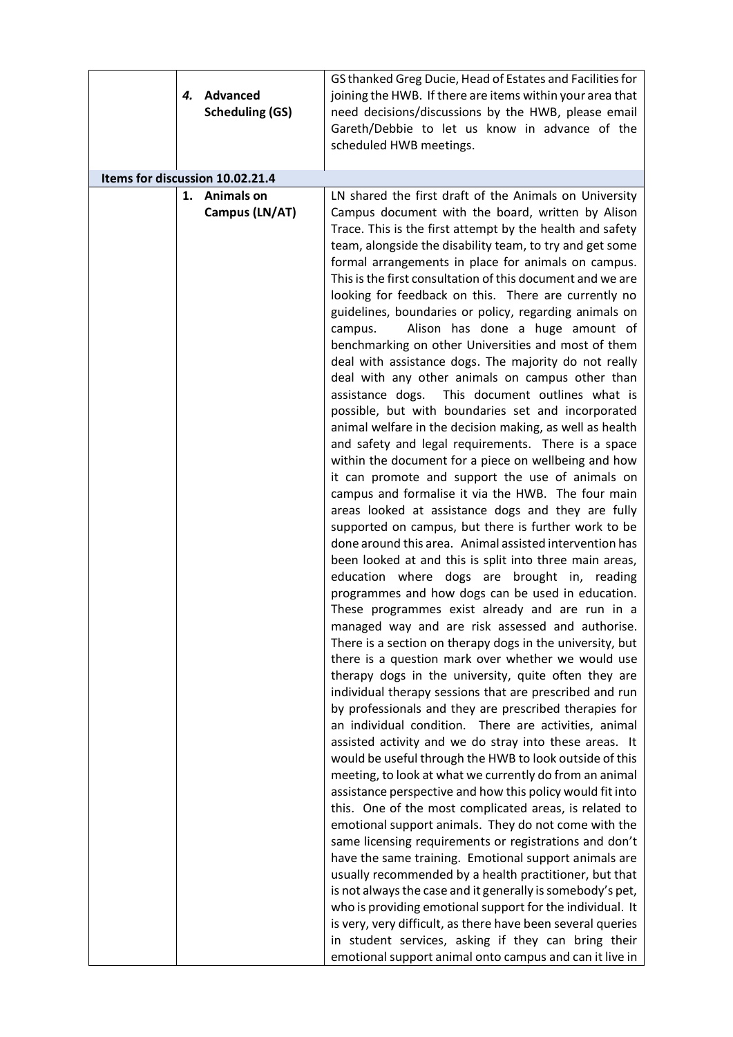| 4. | Advanced<br><b>Scheduling (GS)</b> | GS thanked Greg Ducie, Head of Estates and Facilities for<br>joining the HWB. If there are items within your area that<br>need decisions/discussions by the HWB, please email<br>Gareth/Debbie to let us know in advance of the<br>scheduled HWB meetings.                                                                                                                                                                                                                                                                                                                                                                                                                                                                                                                                                                                                                                                                                                                                                                                                                                                                                                                                                                                                                                                                                                                                                                                                                                                                                                                                                                                                                                                                                                                                                                                                                                                                                                                                                                                                                                                                                                                                                                                                                                                                                                                                                                                                                                                                                                                                                                                                                                                                                                       |
|----|------------------------------------|------------------------------------------------------------------------------------------------------------------------------------------------------------------------------------------------------------------------------------------------------------------------------------------------------------------------------------------------------------------------------------------------------------------------------------------------------------------------------------------------------------------------------------------------------------------------------------------------------------------------------------------------------------------------------------------------------------------------------------------------------------------------------------------------------------------------------------------------------------------------------------------------------------------------------------------------------------------------------------------------------------------------------------------------------------------------------------------------------------------------------------------------------------------------------------------------------------------------------------------------------------------------------------------------------------------------------------------------------------------------------------------------------------------------------------------------------------------------------------------------------------------------------------------------------------------------------------------------------------------------------------------------------------------------------------------------------------------------------------------------------------------------------------------------------------------------------------------------------------------------------------------------------------------------------------------------------------------------------------------------------------------------------------------------------------------------------------------------------------------------------------------------------------------------------------------------------------------------------------------------------------------------------------------------------------------------------------------------------------------------------------------------------------------------------------------------------------------------------------------------------------------------------------------------------------------------------------------------------------------------------------------------------------------------------------------------------------------------------------------------------------------|
|    | Items for discussion 10.02.21.4    |                                                                                                                                                                                                                                                                                                                                                                                                                                                                                                                                                                                                                                                                                                                                                                                                                                                                                                                                                                                                                                                                                                                                                                                                                                                                                                                                                                                                                                                                                                                                                                                                                                                                                                                                                                                                                                                                                                                                                                                                                                                                                                                                                                                                                                                                                                                                                                                                                                                                                                                                                                                                                                                                                                                                                                  |
|    | 1. Animals on<br>Campus (LN/AT)    | LN shared the first draft of the Animals on University<br>Campus document with the board, written by Alison<br>Trace. This is the first attempt by the health and safety<br>team, alongside the disability team, to try and get some<br>formal arrangements in place for animals on campus.<br>This is the first consultation of this document and we are<br>looking for feedback on this. There are currently no<br>guidelines, boundaries or policy, regarding animals on<br>Alison has done a huge amount of<br>campus.<br>benchmarking on other Universities and most of them<br>deal with assistance dogs. The majority do not really<br>deal with any other animals on campus other than<br>This document outlines what is<br>assistance dogs.<br>possible, but with boundaries set and incorporated<br>animal welfare in the decision making, as well as health<br>and safety and legal requirements. There is a space<br>within the document for a piece on wellbeing and how<br>it can promote and support the use of animals on<br>campus and formalise it via the HWB. The four main<br>areas looked at assistance dogs and they are fully<br>supported on campus, but there is further work to be<br>done around this area. Animal assisted intervention has<br>been looked at and this is split into three main areas,<br>education where dogs are brought in, reading<br>programmes and how dogs can be used in education.<br>These programmes exist already and are run in a<br>managed way and are risk assessed and authorise.<br>There is a section on therapy dogs in the university, but<br>there is a question mark over whether we would use<br>therapy dogs in the university, quite often they are<br>individual therapy sessions that are prescribed and run<br>by professionals and they are prescribed therapies for<br>an individual condition. There are activities, animal<br>assisted activity and we do stray into these areas. It<br>would be useful through the HWB to look outside of this<br>meeting, to look at what we currently do from an animal<br>assistance perspective and how this policy would fit into<br>this. One of the most complicated areas, is related to<br>emotional support animals. They do not come with the<br>same licensing requirements or registrations and don't<br>have the same training. Emotional support animals are<br>usually recommended by a health practitioner, but that<br>is not always the case and it generally is somebody's pet,<br>who is providing emotional support for the individual. It<br>is very, very difficult, as there have been several queries<br>in student services, asking if they can bring their<br>emotional support animal onto campus and can it live in |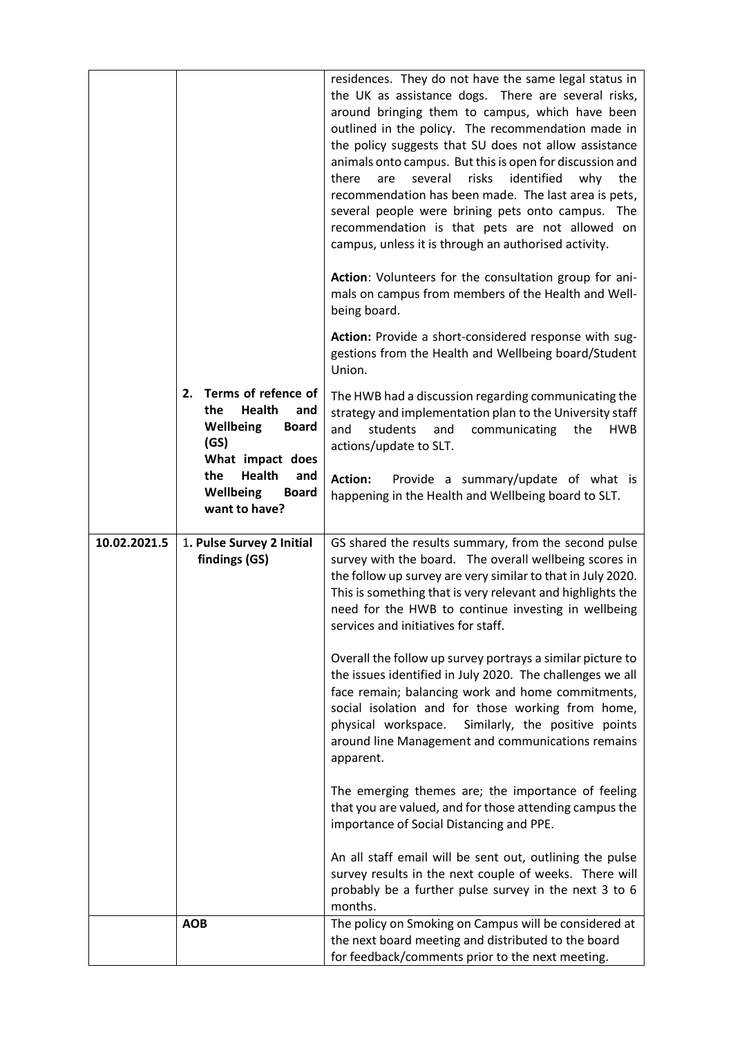|              | Terms of refence of<br>2.<br>Health<br>the<br>and<br><b>Wellbeing</b><br><b>Board</b><br>(GS)<br>What impact does<br>Health<br>the<br>and<br>Wellbeing<br><b>Board</b> | residences. They do not have the same legal status in<br>the UK as assistance dogs. There are several risks,<br>around bringing them to campus, which have been<br>outlined in the policy. The recommendation made in<br>the policy suggests that SU does not allow assistance<br>animals onto campus. But this is open for discussion and<br>several<br>risks<br>identified<br>there<br>are<br>why<br>the<br>recommendation has been made. The last area is pets,<br>several people were brining pets onto campus. The<br>recommendation is that pets are not allowed on<br>campus, unless it is through an authorised activity.<br>Action: Volunteers for the consultation group for ani-<br>mals on campus from members of the Health and Well-<br>being board.<br>Action: Provide a short-considered response with sug-<br>gestions from the Health and Wellbeing board/Student<br>Union.<br>The HWB had a discussion regarding communicating the<br>strategy and implementation plan to the University staff<br>students<br>and<br>and<br>communicating<br>the<br>HWB<br>actions/update to SLT.<br><b>Action:</b><br>Provide a summary/update of what is<br>happening in the Health and Wellbeing board to SLT. |
|--------------|------------------------------------------------------------------------------------------------------------------------------------------------------------------------|----------------------------------------------------------------------------------------------------------------------------------------------------------------------------------------------------------------------------------------------------------------------------------------------------------------------------------------------------------------------------------------------------------------------------------------------------------------------------------------------------------------------------------------------------------------------------------------------------------------------------------------------------------------------------------------------------------------------------------------------------------------------------------------------------------------------------------------------------------------------------------------------------------------------------------------------------------------------------------------------------------------------------------------------------------------------------------------------------------------------------------------------------------------------------------------------------------------------|
| 10.02.2021.5 | want to have?<br>1. Pulse Survey 2 Initial<br>findings (GS)                                                                                                            | GS shared the results summary, from the second pulse<br>survey with the board. The overall wellbeing scores in<br>the follow up survey are very similar to that in July 2020.                                                                                                                                                                                                                                                                                                                                                                                                                                                                                                                                                                                                                                                                                                                                                                                                                                                                                                                                                                                                                                        |
|              |                                                                                                                                                                        | This is something that is very relevant and highlights the<br>need for the HWB to continue investing in wellbeing<br>services and initiatives for staff.                                                                                                                                                                                                                                                                                                                                                                                                                                                                                                                                                                                                                                                                                                                                                                                                                                                                                                                                                                                                                                                             |
|              |                                                                                                                                                                        | Overall the follow up survey portrays a similar picture to<br>the issues identified in July 2020. The challenges we all<br>face remain; balancing work and home commitments,<br>social isolation and for those working from home,<br>physical workspace.<br>Similarly, the positive points<br>around line Management and communications remains<br>apparent.                                                                                                                                                                                                                                                                                                                                                                                                                                                                                                                                                                                                                                                                                                                                                                                                                                                         |
|              |                                                                                                                                                                        | The emerging themes are; the importance of feeling<br>that you are valued, and for those attending campus the<br>importance of Social Distancing and PPE.                                                                                                                                                                                                                                                                                                                                                                                                                                                                                                                                                                                                                                                                                                                                                                                                                                                                                                                                                                                                                                                            |
|              |                                                                                                                                                                        | An all staff email will be sent out, outlining the pulse<br>survey results in the next couple of weeks. There will<br>probably be a further pulse survey in the next 3 to 6<br>months.                                                                                                                                                                                                                                                                                                                                                                                                                                                                                                                                                                                                                                                                                                                                                                                                                                                                                                                                                                                                                               |
|              | <b>AOB</b>                                                                                                                                                             | The policy on Smoking on Campus will be considered at                                                                                                                                                                                                                                                                                                                                                                                                                                                                                                                                                                                                                                                                                                                                                                                                                                                                                                                                                                                                                                                                                                                                                                |
|              |                                                                                                                                                                        | the next board meeting and distributed to the board<br>for feedback/comments prior to the next meeting.                                                                                                                                                                                                                                                                                                                                                                                                                                                                                                                                                                                                                                                                                                                                                                                                                                                                                                                                                                                                                                                                                                              |